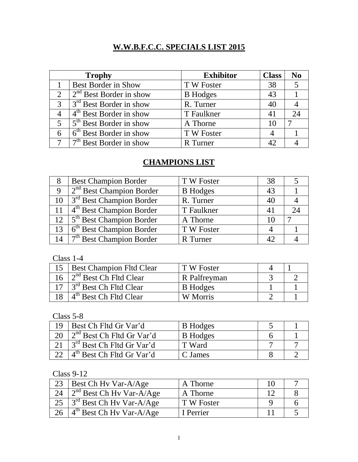## **W.W.B.F.C.C. SPECIALS LIST 2015**

|               | <b>Trophy</b>                                   | <b>Exhibitor</b> | <b>Class</b> | No |
|---------------|-------------------------------------------------|------------------|--------------|----|
|               | Best Border in Show                             | T W Foster       | 38           |    |
|               | $\int 2^{nd}$ Best Border in show               | <b>B</b> Hodges  | 43           |    |
| $\mathcal{R}$ | $3rd$ Best Border in show                       | R. Turner        | 40           |    |
|               | $4th$ Best Border in show                       | T Faulkner       | 41           |    |
| $\sqrt{5}$    | $\frac{1}{5}$ <sup>th</sup> Best Border in show | A Thorne         | 10           |    |
|               | $6 \mid 6^{\text{th}}$ Best Border in show      | T W Foster       |              |    |
|               | $7th$ Best Border in show                       | R Turner         | 42           |    |

## **CHAMPIONS LIST**

| <b>Best Champion Border</b>           | T W Foster      | 38 |  |
|---------------------------------------|-----------------|----|--|
| $2nd$ Best Champion Border            | <b>B</b> Hodges | 43 |  |
| 10 $\int 3^{rd}$ Best Champion Border | R. Turner       | 40 |  |
| 11 $4th$ Best Champion Border         | T Faulkner      |    |  |
| $12 \mid 5^{th}$ Best Champion Border | A Thorne        | 10 |  |
| $6th$ Best Champion Border            | T W Foster      |    |  |
| $7th$ Best Champion Border            | R Turner        |    |  |

Class 1-4

| 15   Best Champion Fltd Clear                 | T W Foster      |  |
|-----------------------------------------------|-----------------|--|
| 16 $\frac{2^{nd}}{2^{nd}}$ Best Ch Fltd Clear | R Palfreyman    |  |
| $17 \mid 3^{rd}$ Best Ch Fltd Clear           | <b>B</b> Hodges |  |
| $4th$ Best Ch Fltd Clear                      | W Morris        |  |

Class 5-8

| 19 | Best Ch Fltd Gr Var'd                             | <b>B</b> Hodges |  |
|----|---------------------------------------------------|-----------------|--|
|    | $\frac{1}{2}$ <sup>nd</sup> Best Ch Fltd Gr Var'd | <b>B</b> Hodges |  |
|    | 3 <sup>rd</sup> Best Ch Fltd Gr Var'd             | T Ward          |  |
|    | 4 <sup>th</sup> Best Ch Fltd Gr Var'd             | C James         |  |

Class 9-12

| 23   Best Ch Hy Var-A/Age               | A Thorne   |  |
|-----------------------------------------|------------|--|
| 24 $2^{nd}$ Best Ch Hy Var-A/Age        | A Thorne   |  |
| 25 $\int 3^{rd}$ Best Ch Hy Var-A/Age   | T W Foster |  |
| 26 $4^{\text{th}}$ Best Ch Hy Var-A/Age | I Perrier  |  |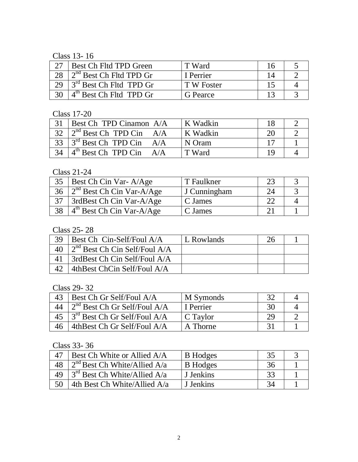Class 13- 16

|    | Best Ch Fltd TPD Green            | T Ward     |  |
|----|-----------------------------------|------------|--|
| 28 | $2nd$ Best Ch Fltd TPD Gr         | I Perrier  |  |
| 29 | $\sim 3^{rd}$ Best Ch Fltd TPD Gr | T W Foster |  |
|    | $4th$ Best Ch Fltd TPD Gr         | G Pearce   |  |

Class 17-20

|    | <b>Best Ch TPD Cinamon A/A</b>        | K Wadkin |  |
|----|---------------------------------------|----------|--|
|    | 32 $\vert 2^{nd}$ Best Ch TPD Cin A/A | K Wadkin |  |
|    | 33 $3^{rd}$ Best Ch TPD Cin A/A       | N Oram   |  |
| 34 | $4th$ Best Ch TPD Cin A/A             | T Ward   |  |

Class 21-24

| 35 | Best Ch Cin Var-A/Age                  | T Faulkner   |  |
|----|----------------------------------------|--------------|--|
|    | 36 $\int 2^{nd}$ Best Ch Cin Var-A/Age | J Cunningham |  |
|    | 3rdBest Ch Cin Var-A/Age               | C James      |  |
|    | 38 $4th$ Best Ch Cin Var-A/Age         | C James      |  |

Class 25- 28

| 39 | $\vert$ Best Ch Cin-Self/Foul A/A          | L Rowlands |  |
|----|--------------------------------------------|------------|--|
|    | 40 $\int 2^{nd}$ Best Ch Cin Self/Foul A/A |            |  |
| 41 | SrdBest Ch Cin Self/Foul A/A               |            |  |
| 42 | 4thBest ChCin Self/Foul A/A                |            |  |

Class 29- 32

| 43 | Best Ch Gr Self/Foul A/A                             | M Symonds       |    |  |
|----|------------------------------------------------------|-----------------|----|--|
| 44 | $\frac{1}{2}$ <sup>nd</sup> Best Ch Gr Self/Foul A/A | I Perrier       | 30 |  |
|    | 45 $\int 3^{rd}$ Best Ch Gr Self/Foul A/A            | $\mid$ C Taylor | 20 |  |
|    | 46   4thBest Ch Gr Self/Foul A/A                     | A Thorne        |    |  |

Class 33- 36

|    | Best Ch White or Allied A/A                          | <b>B</b> Hodges | 35 |  |
|----|------------------------------------------------------|-----------------|----|--|
| 48 | $12^{nd}$ Best Ch White/Allied A/a                   | <b>B</b> Hodges | 36 |  |
| 49 | $\frac{1}{3}$ <sup>rd</sup> Best Ch White/Allied A/a | J Jenkins       |    |  |
| 50 | 4th Best Ch White/Allied A/a                         | J Jenkins       |    |  |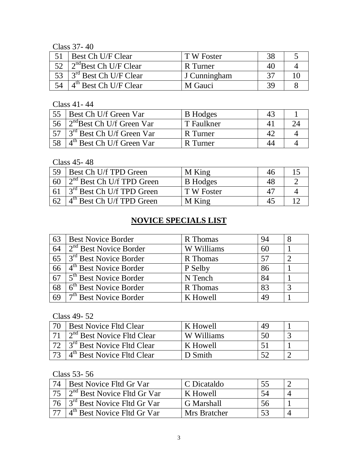Class 37- 40

| Best Ch U/F Clear                               | T W Foster   |    |  |
|-------------------------------------------------|--------------|----|--|
| 52 $\vert$ 2 <sup>nd</sup> Best Ch U/F Clear    | R Turner     | 40 |  |
| $\frac{1}{1}$ 3 <sup>rd</sup> Best Ch U/F Clear | J Cunningham |    |  |
| $4th$ Best Ch U/F Clear                         | M Gauci      |    |  |

Class 41- 44

|    | Best Ch U/f Green Var                             | <b>B</b> Hodges |  |
|----|---------------------------------------------------|-----------------|--|
| 56 | $\frac{1}{2}$ <sup>nd</sup> Best Ch U/f Green Var | T Faulkner      |  |
|    | $3rd$ Best Ch U/f Green Var                       | R Turner        |  |
|    | $4th$ Best Ch U/f Green Var                       | R Turner        |  |

Class 45- 48

| 59 | Best Ch U/f TPD Green                 | M King          | 46 |  |
|----|---------------------------------------|-----------------|----|--|
| 60 | $2nd$ Best Ch U/f TPD Green           | <b>B</b> Hodges | 48 |  |
|    | $3rd$ Best Ch U/f TPD Green           | T W Foster      |    |  |
| 62 | 4 <sup>th</sup> Best Ch U/f TPD Green | M King          | 45 |  |

## **NOVICE SPECIALS LIST**

| 63 | <b>Best Novice Border</b>          | R Thomas   | 94 |  |
|----|------------------------------------|------------|----|--|
| 64 | $2nd$ Best Novice Border           | W Williams | 60 |  |
| 65 | $3rd$ Best Novice Border           | R Thomas   | 57 |  |
| 66 | 4 <sup>th</sup> Best Novice Border | P Selby    | 86 |  |
| 67 | 5 <sup>th</sup> Best Novice Border | N Tench    | 84 |  |
| 68 | 6 <sup>th</sup> Best Novice Border | R Thomas   | 83 |  |
| 69 | 7 <sup>th</sup> Best Novice Border | K Howell   | 49 |  |

Class 49- 52

| 70 | Best Novice Fltd Clear                              | K Howell       |  |
|----|-----------------------------------------------------|----------------|--|
|    | $12nd$ Best Novice Fltd Clear                       | W Williams     |  |
|    | <sup>1</sup> 3 <sup>rd</sup> Best Novice Fltd Clear | K Howell       |  |
|    | 4 <sup>th</sup> Best Novice Fltd Clear              | <b>)</b> Smith |  |

Class 53- 56

| 74 | Best Novice Fltd Gr Var                             | C Dicataldo  |    |  |
|----|-----------------------------------------------------|--------------|----|--|
|    | $\frac{1}{2}$ <sup>nd</sup> Best Novice Fltd Gr Var | K Howell     |    |  |
| 76 | 3 <sup>rd</sup> Best Novice Fltd Gr Var             | G Marshall   | 56 |  |
|    | 4 <sup>th</sup> Best Novice Fltd Gr Var             | Mrs Bratcher |    |  |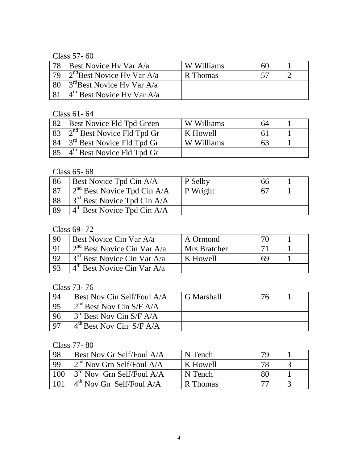Class 57- 60

| 78 | Best Novice Hy Var A/a                         | W Williams | 60 |  |
|----|------------------------------------------------|------------|----|--|
| 79 | $2^{nd}$ Best Novice Hy Var A/a                | R Thomas   |    |  |
|    | $\frac{3^{rd}}{3^{rd}}$ Best Novice Hy Var A/a |            |    |  |
|    | $4th$ Best Novice Hy Var A/a                   |            |    |  |

Class 61- 64

| 82 | <b>Best Novice Fld Tpd Green</b>     | W Williams | 64  |  |
|----|--------------------------------------|------------|-----|--|
|    | $\int 2^{nd}$ Best Novice Fld Tpd Gr | K Howell   | h I |  |
| 84 | $13rd$ Best Novice Fld Tpd Gr        | W Williams | 63  |  |
|    | $4th$ Best Novice Fld Tpd Gr         |            |     |  |

Class 65- 68

| 86        | Best Novice Tpd Cin A/A           | P Selby  | 66 |  |
|-----------|-----------------------------------|----------|----|--|
| <b>87</b> | $12^{nd}$ Best Novice Tpd Cin A/A | P Wright | 67 |  |
| 88        | $3rd$ Best Novice Tpd Cin A/A     |          |    |  |
| 89        | $4th$ Best Novice Tpd Cin A/A     |          |    |  |

Class 69- 72

| 90             | Best Novice Cin Var A/a               | A Ormond     | 70 |  |
|----------------|---------------------------------------|--------------|----|--|
|                | $2nd$ Best Novice Cin Var A/a         | Mrs Bratcher |    |  |
| Q <sub>2</sub> | $\sim 3^{rd}$ Best Novice Cin Var A/a | K Howell     | 69 |  |
| 93             | $4th$ Best Novice Cin Var A/a         |              |    |  |

Class 73- 76

| 94       | Best Nov Cin Self/Foul A/A                       | G Marshall |  |
|----------|--------------------------------------------------|------------|--|
| 95       | $\frac{1}{2}$ <sup>nd</sup> Best Nov Cin S/F A/A |            |  |
| 96       | $\frac{3^{rd}}{3^{rd}}$ Best Nov Cin S/F A/A     |            |  |
| $\Omega$ | $4^{\text{th}}$ Best Nov Cin S/F A/A             |            |  |

Class 77- 80

| - 98 | Best Nov Gr Self/Foul A/A   | N Tench  | 70 |  |
|------|-----------------------------|----------|----|--|
| 99   | $2nd$ Nov Grn Self/Foul A/A | K Howell | 78 |  |
| 100  | $3rd$ Nov Grn Self/Foul A/A | N Tench  | 80 |  |
| 101  | $4th$ Nov Gn Self/Foul A/A  | R Thomas | רי |  |